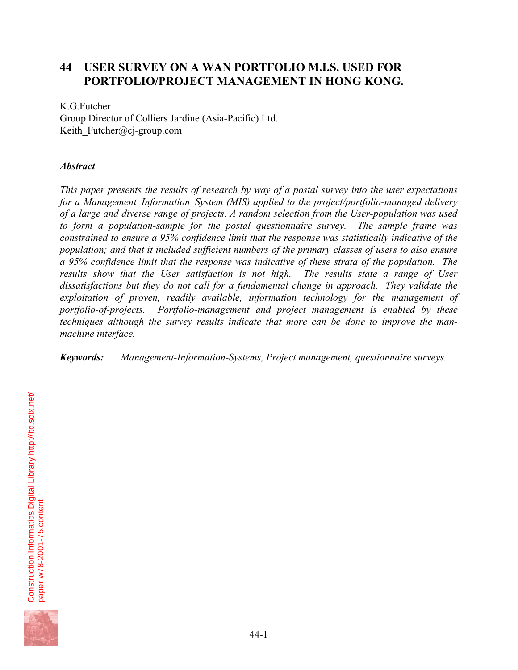# **44 USER SURVEY ON A WAN PORTFOLIO M.I.S. USED FOR PORTFOLIO/PROJECT MANAGEMENT IN HONG KONG.**

## K.G.Futcher

Group Director of Colliers Jardine (Asia-Pacific) Ltd. Keith Futcher@cj-group.com

## *Abstract*

*This paper presents the results of research by way of a postal survey into the user expectations for a Management\_Information\_System (MIS) applied to the project/portfolio-managed delivery of a large and diverse range of projects. A random selection from the User-population was used to form a population-sample for the postal questionnaire survey. The sample frame was constrained to ensure a 95% confidence limit that the response was statistically indicative of the population; and that it included sufficient numbers of the primary classes of users to also ensure a 95% confidence limit that the response was indicative of these strata of the population. The results show that the User satisfaction is not high. The results state a range of User dissatisfactions but they do not call for a fundamental change in approach. They validate the exploitation of proven, readily available, information technology for the management of portfolio-of-projects. Portfolio-management and project management is enabled by these techniques although the survey results indicate that more can be done to improve the manmachine interface.* 

## *Keywords: Management-Information-Systems, Project management, questionnaire surveys.*

Construction Informatics Digital Library http://itc.scix.net/ Construction Informatics Digital Library http://itc.scix.net/ paper w78-2001-75.content paper w78-2001-75.content

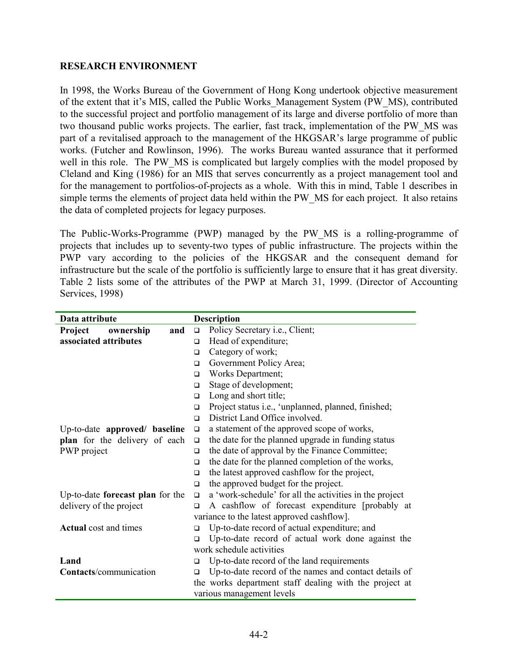## **RESEARCH ENVIRONMENT**

In 1998, the Works Bureau of the Government of Hong Kong undertook objective measurement of the extent that it's MIS, called the Public Works\_Management System (PW\_MS), contributed to the successful project and portfolio management of its large and diverse portfolio of more than two thousand public works projects. The earlier, fast track, implementation of the PW\_MS was part of a revitalised approach to the management of the HKGSAR's large programme of public works. (Futcher and Rowlinson, 1996). The works Bureau wanted assurance that it performed well in this role. The PW\_MS is complicated but largely complies with the model proposed by Cleland and King (1986) for an MIS that serves concurrently as a project management tool and for the management to portfolios-of-projects as a whole. With this in mind, Table 1 describes in simple terms the elements of project data held within the PW\_MS for each project. It also retains the data of completed projects for legacy purposes.

The Public-Works-Programme (PWP) managed by the PW\_MS is a rolling-programme of projects that includes up to seventy-two types of public infrastructure. The projects within the PWP vary according to the policies of the HKGSAR and the consequent demand for infrastructure but the scale of the portfolio is sufficiently large to ensure that it has great diversity. Table 2 lists some of the attributes of the PWP at March 31, 1999. (Director of Accounting Services, 1998)

| Data attribute                   |        | <b>Description</b>                                      |  |
|----------------------------------|--------|---------------------------------------------------------|--|
| Project<br>ownership<br>and      | $\Box$ | Policy Secretary <i>i.e.</i> , Client;                  |  |
| associated attributes            | $\Box$ | Head of expenditure;                                    |  |
|                                  | $\Box$ | Category of work;                                       |  |
|                                  | $\Box$ | Government Policy Area;                                 |  |
|                                  | $\Box$ | Works Department;                                       |  |
|                                  | $\Box$ | Stage of development;                                   |  |
|                                  | $\Box$ | Long and short title;                                   |  |
|                                  | $\Box$ | Project status i.e., 'unplanned, planned, finished;     |  |
|                                  | $\Box$ | District Land Office involved.                          |  |
| Up-to-date approved/ baseline    | $\Box$ | a statement of the approved scope of works,             |  |
| plan for the delivery of each    | $\Box$ | the date for the planned upgrade in funding status      |  |
| PWP project                      | $\Box$ | the date of approval by the Finance Committee;          |  |
|                                  | $\Box$ | the date for the planned completion of the works,       |  |
|                                  | $\Box$ | the latest approved cashflow for the project,           |  |
|                                  | $\Box$ | the approved budget for the project.                    |  |
| Up-to-date forecast plan for the | $\Box$ | a 'work-schedule' for all the activities in the project |  |
| delivery of the project          | $\Box$ | A cashflow of forecast expenditure [probably at         |  |
|                                  |        | variance to the latest approved cashflow].              |  |
| <b>Actual</b> cost and times     | $\Box$ | Up-to-date record of actual expenditure; and            |  |
|                                  | $\Box$ | Up-to-date record of actual work done against the       |  |
|                                  |        | work schedule activities                                |  |
| Land                             | □      | Up-to-date record of the land requirements              |  |
| Contacts/communication           | $\Box$ | Up-to-date record of the names and contact details of   |  |
|                                  |        | the works department staff dealing with the project at  |  |
|                                  |        | various management levels                               |  |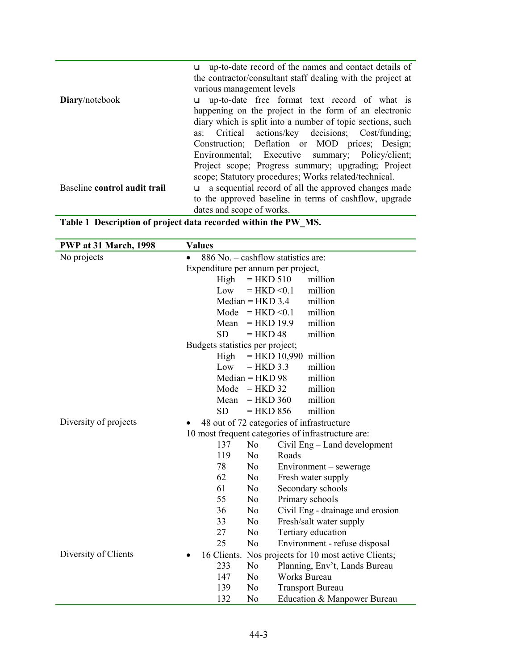|                              | $\Box$ up-to-date record of the names and contact details of |  |  |  |  |  |  |  |
|------------------------------|--------------------------------------------------------------|--|--|--|--|--|--|--|
|                              | the contractor/consultant staff dealing with the project at  |  |  |  |  |  |  |  |
|                              | various management levels                                    |  |  |  |  |  |  |  |
| Diary/notebook               | $\Box$ up-to-date free format text record of what is         |  |  |  |  |  |  |  |
|                              | happening on the project in the form of an electronic        |  |  |  |  |  |  |  |
|                              | diary which is split into a number of topic sections, such   |  |  |  |  |  |  |  |
|                              | as: Critical actions/key decisions; Cost/funding;            |  |  |  |  |  |  |  |
|                              | Construction; Deflation or MOD prices; Design;               |  |  |  |  |  |  |  |
|                              | Environmental; Executive summary; Policy/client;             |  |  |  |  |  |  |  |
|                              | Project scope; Progress summary; upgrading; Project          |  |  |  |  |  |  |  |
|                              | scope; Statutory procedures; Works related/technical.        |  |  |  |  |  |  |  |
| Baseline control audit trail | a sequential record of all the approved changes made         |  |  |  |  |  |  |  |
|                              | to the approved baseline in terms of cashflow, upgrade       |  |  |  |  |  |  |  |
|                              | dates and scope of works.                                    |  |  |  |  |  |  |  |

|  | Table 1 Description of project data recorded within the PW_MS. |  |
|--|----------------------------------------------------------------|--|
|  |                                                                |  |

| <b>PWP at 31 March, 1998</b> | <b>Values</b>                                            |
|------------------------------|----------------------------------------------------------|
| No projects                  | 886 No. – cashflow statistics are:<br>$\bullet$          |
|                              | Expenditure per annum per project,                       |
|                              | High<br>$=$ HKD 510<br>million                           |
|                              | million<br>$=$ HKD $< 0.1$<br>Low                        |
|                              | $Median = HKD 3.4$<br>million                            |
|                              | million<br>$=$ HKD $< 0.1$<br>Mode                       |
|                              | $=$ HKD 19.9<br>million<br>Mean                          |
|                              | million<br><b>SD</b><br>$=$ HKD 48                       |
|                              | Budgets statistics per project;                          |
|                              | $=$ HKD 10,990<br>million<br>High                        |
|                              | million<br>$=$ HKD 3.3<br>Low                            |
|                              | million<br>$Median = HKD 98$                             |
|                              | Mode = $HKD$ 32<br>million                               |
|                              | million<br>$=$ HKD 360<br>Mean                           |
|                              | <b>SD</b><br>$=$ HKD 856<br>million                      |
| Diversity of projects        | 48 out of 72 categories of infrastructure                |
|                              | 10 most frequent categories of infrastructure are:       |
|                              | 137<br>No<br>Civil Eng – Land development                |
|                              | N <sub>0</sub><br>Roads<br>119                           |
|                              | 78<br>N <sub>o</sub><br>Environment – sewerage           |
|                              | 62<br>N <sub>o</sub><br>Fresh water supply               |
|                              | 61<br>N <sub>0</sub><br>Secondary schools                |
|                              | 55<br>N <sub>0</sub><br>Primary schools                  |
|                              | Civil Eng - drainage and erosion<br>36<br>N <sub>0</sub> |
|                              | Fresh/salt water supply<br>33<br>N <sub>0</sub>          |
|                              | 27<br>N <sub>o</sub><br>Tertiary education               |
|                              | 25<br>N <sub>o</sub><br>Environment - refuse disposal    |
| Diversity of Clients         | 16 Clients. Nos projects for 10 most active Clients;     |
|                              | 233<br>N <sub>0</sub><br>Planning, Env't, Lands Bureau   |
|                              | 147<br>No<br><b>Works Bureau</b>                         |
|                              | 139<br>N <sub>0</sub><br><b>Transport Bureau</b>         |
|                              | 132<br>No<br>Education & Manpower Bureau                 |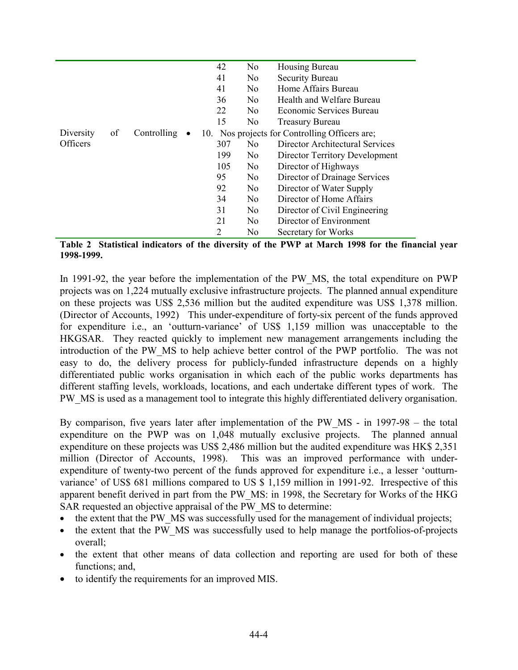|                 |    |             | 42  | N <sub>0</sub> | Housing Bureau                                 |
|-----------------|----|-------------|-----|----------------|------------------------------------------------|
|                 |    |             | 41  | N <sub>0</sub> | <b>Security Bureau</b>                         |
|                 |    |             | 41  | N <sub>0</sub> | Home Affairs Bureau                            |
|                 |    |             | 36  | N <sub>0</sub> | Health and Welfare Bureau                      |
|                 |    |             | 22  | N <sub>0</sub> | Economic Services Bureau                       |
|                 |    |             | 15  | No             | <b>Treasury Bureau</b>                         |
| Diversity       | of | Controlling |     |                | 10. Nos projects for Controlling Officers are; |
| <b>Officers</b> |    |             | 307 | N <sub>0</sub> | Director Architectural Services                |
|                 |    |             | 199 | N <sub>0</sub> | <b>Director Territory Development</b>          |
|                 |    |             | 105 | N <sub>0</sub> | Director of Highways                           |
|                 |    |             | 95  | N <sub>0</sub> | Director of Drainage Services                  |
|                 |    |             | 92  | N <sub>0</sub> | Director of Water Supply                       |
|                 |    |             | 34  | N <sub>0</sub> | Director of Home Affairs                       |
|                 |    |             | 31  | N <sub>0</sub> | Director of Civil Engineering                  |
|                 |    |             | 21  | N <sub>0</sub> | Director of Environment                        |
|                 |    |             | 2   | No             | Secretary for Works                            |

**Table 2 Statistical indicators of the diversity of the PWP at March 1998 for the financial year 1998-1999.** 

In 1991-92, the year before the implementation of the PW\_MS, the total expenditure on PWP projects was on 1,224 mutually exclusive infrastructure projects. The planned annual expenditure on these projects was US\$ 2,536 million but the audited expenditure was US\$ 1,378 million. (Director of Accounts, 1992) This under-expenditure of forty-six percent of the funds approved for expenditure i.e., an 'outturn-variance' of US\$ 1,159 million was unacceptable to the HKGSAR. They reacted quickly to implement new management arrangements including the introduction of the PW\_MS to help achieve better control of the PWP portfolio. The was not easy to do, the delivery process for publicly-funded infrastructure depends on a highly differentiated public works organisation in which each of the public works departments has different staffing levels, workloads, locations, and each undertake different types of work. The PW MS is used as a management tool to integrate this highly differentiated delivery organisation.

By comparison, five years later after implementation of the PW\_MS - in 1997-98 – the total expenditure on the PWP was on 1,048 mutually exclusive projects. The planned annual expenditure on these projects was US\$ 2,486 million but the audited expenditure was HK\$ 2,351 million (Director of Accounts, 1998). This was an improved performance with underexpenditure of twenty-two percent of the funds approved for expenditure i.e., a lesser 'outturnvariance' of US\$ 681 millions compared to US \$ 1,159 million in 1991-92. Irrespective of this apparent benefit derived in part from the PW\_MS: in 1998, the Secretary for Works of the HKG SAR requested an objective appraisal of the PW\_MS to determine:

- the extent that the PW\_MS was successfully used for the management of individual projects;
- the extent that the PW\_MS was successfully used to help manage the portfolios-of-projects overall;
- the extent that other means of data collection and reporting are used for both of these functions; and,
- to identify the requirements for an improved MIS.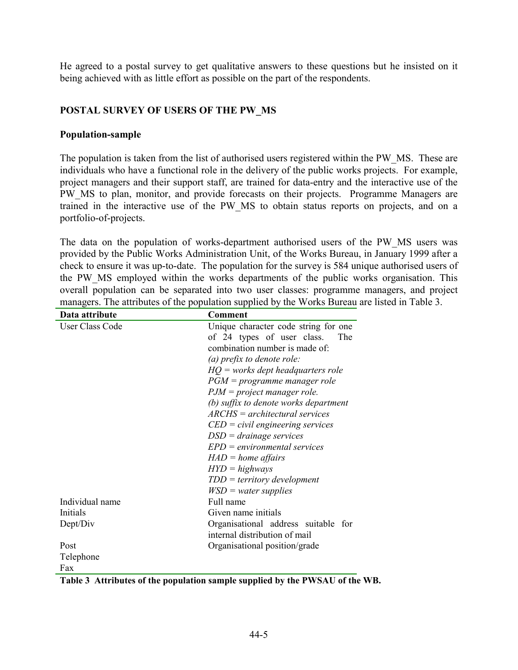He agreed to a postal survey to get qualitative answers to these questions but he insisted on it being achieved with as little effort as possible on the part of the respondents.

# **POSTAL SURVEY OF USERS OF THE PW\_MS**

## **Population-sample**

The population is taken from the list of authorised users registered within the PW\_MS. These are individuals who have a functional role in the delivery of the public works projects. For example, project managers and their support staff, are trained for data-entry and the interactive use of the PW MS to plan, monitor, and provide forecasts on their projects. Programme Managers are trained in the interactive use of the PW\_MS to obtain status reports on projects, and on a portfolio-of-projects.

The data on the population of works-department authorised users of the PW\_MS users was provided by the Public Works Administration Unit, of the Works Bureau, in January 1999 after a check to ensure it was up-to-date. The population for the survey is 584 unique authorised users of the PW\_MS employed within the works departments of the public works organisation. This overall population can be separated into two user classes: programme managers, and project managers. The attributes of the population supplied by the Works Bureau are listed in Table 3.

| Data attribute  | Comment                                            |  |  |  |  |
|-----------------|----------------------------------------------------|--|--|--|--|
| User Class Code | Unique character code string for one               |  |  |  |  |
|                 | of 24 types of user class.<br>The                  |  |  |  |  |
|                 | combination number is made of:                     |  |  |  |  |
|                 | (a) prefix to denote role:                         |  |  |  |  |
|                 | $HQ$ = works dept headquarters role                |  |  |  |  |
|                 | $PGM = programme$ manager role                     |  |  |  |  |
|                 | $PJM = project$ manager role.                      |  |  |  |  |
|                 | (b) suffix to denote works department              |  |  |  |  |
|                 | $\textit{ARCHS} = \textit{architectural services}$ |  |  |  |  |
|                 | $EED = civil$ engineering services                 |  |  |  |  |
|                 | $DSD = drainage$ services                          |  |  |  |  |
|                 | $EPD = environmental$ services                     |  |  |  |  |
|                 | $HAD = home$ affairs                               |  |  |  |  |
|                 | $HYD = highways$                                   |  |  |  |  |
|                 | $TDD = territory$ development                      |  |  |  |  |
|                 | $WSD = water$ supplies                             |  |  |  |  |
| Individual name | Full name                                          |  |  |  |  |
| Initials        | Given name initials                                |  |  |  |  |
| Dept/Div        | Organisational address suitable for                |  |  |  |  |
|                 | internal distribution of mail                      |  |  |  |  |
| Post            | Organisational position/grade                      |  |  |  |  |
| Telephone       |                                                    |  |  |  |  |
| Fax             |                                                    |  |  |  |  |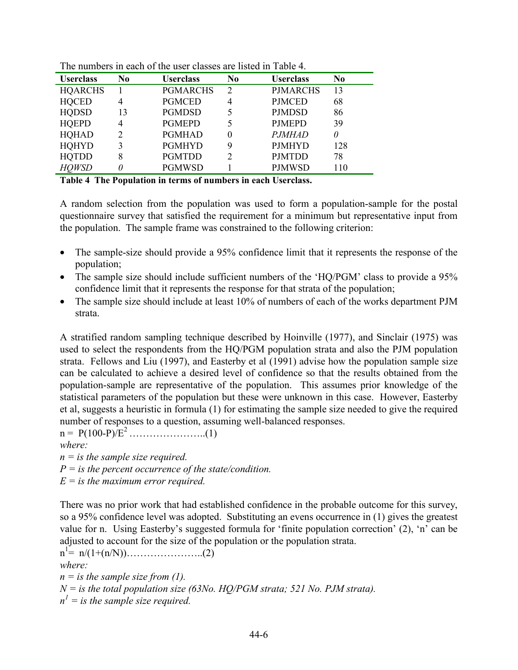| <b>Userclass</b> | No             | <b>Userclass</b> | N <sub>0</sub> | <b>Userclass</b> | N <sub>0</sub> |  |  |
|------------------|----------------|------------------|----------------|------------------|----------------|--|--|
| <b>HQARCHS</b>   |                | <b>PGMARCHS</b>  | $\overline{2}$ | <b>PJMARCHS</b>  | 13             |  |  |
| <b>HQCED</b>     | 4              | <b>PGMCED</b>    | 4              | <b>PJMCED</b>    | 68             |  |  |
| <b>HQDSD</b>     | 13             | <b>PGMDSD</b>    |                | <b>PJMDSD</b>    | 86             |  |  |
| <b>HQEPD</b>     | $\overline{4}$ | <b>PGMEPD</b>    | 5              | <b>PJMEPD</b>    | 39             |  |  |
| <b>HQHAD</b>     | 2              | <b>PGMHAD</b>    | $\theta$       | <i>PJMHAD</i>    | O              |  |  |
| <b>HQHYD</b>     | 3              | <b>PGMHYD</b>    | 9              | <b>PJMHYD</b>    | 128            |  |  |
| <b>HQTDD</b>     | 8              | <b>PGMTDD</b>    | $\overline{c}$ | <b>PJMTDD</b>    | 78             |  |  |
| <b>HOWSD</b>     |                | <b>PGMWSD</b>    |                | <b>PJMWSD</b>    | 110            |  |  |

The numbers in each of the user classes are listed in Table 4.

**Table 4 The Population in terms of numbers in each Userclass.** 

A random selection from the population was used to form a population-sample for the postal questionnaire survey that satisfied the requirement for a minimum but representative input from the population. The sample frame was constrained to the following criterion:

- The sample-size should provide a 95% confidence limit that it represents the response of the population;
- The sample size should include sufficient numbers of the 'HO/PGM' class to provide a 95% confidence limit that it represents the response for that strata of the population;
- The sample size should include at least 10% of numbers of each of the works department PJM strata.

A stratified random sampling technique described by Hoinville (1977), and Sinclair (1975) was used to select the respondents from the HQ/PGM population strata and also the PJM population strata. Fellows and Liu (1997), and Easterby et al (1991) advise how the population sample size can be calculated to achieve a desired level of confidence so that the results obtained from the population-sample are representative of the population. This assumes prior knowledge of the statistical parameters of the population but these were unknown in this case. However, Easterby et al, suggests a heuristic in formula (1) for estimating the sample size needed to give the required number of responses to a question, assuming well-balanced responses.

n = P(100-P)/E2 …………………..(1) *where:* 

*n = is the sample size required.* 

*P = is the percent occurrence of the state/condition.*

*E = is the maximum error required.*

There was no prior work that had established confidence in the probable outcome for this survey, so a 95% confidence level was adopted. Substituting an evens occurrence in (1) gives the greatest value for n. Using Easterby's suggested formula for 'finite population correction' (2), 'n' can be adjusted to account for the size of the population or the population strata.

n1 = n/(1+(n/N))…………………..(2) *where: n = is the sample size from (1).*   $N =$  *is the total population size (63No. HO/PGM strata; 521 No. PJM strata).*  $n^1 =$  *is the sample size required.*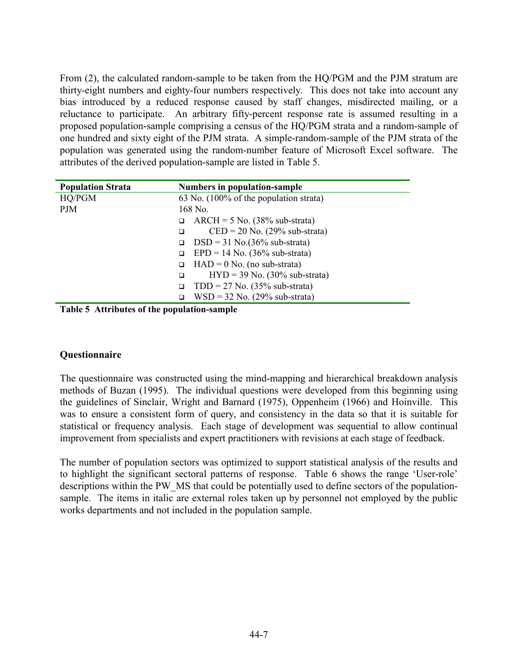From (2), the calculated random-sample to be taken from the HQ/PGM and the PJM stratum are thirty-eight numbers and eighty-four numbers respectively. This does not take into account any bias introduced by a reduced response caused by staff changes, misdirected mailing, or a reluctance to participate. An arbitrary fifty-percent response rate is assumed resulting in a proposed population-sample comprising a census of the HQ/PGM strata and a random-sample of one hundred and sixty eight of the PJM strata. A simple-random-sample of the PJM strata of the population was generated using the random-number feature of Microsoft Excel software. The attributes of the derived population-sample are listed in Table 5.

| <b>Population Strata</b> | Numbers in population-sample                                 |
|--------------------------|--------------------------------------------------------------|
| HQ/PGM                   | 63 No. (100% of the population strata)                       |
| <b>PJM</b>               | 168 No.                                                      |
|                          | $\text{ARCH} = 5 \text{ No.}$ (38% sub-strata)<br>□          |
|                          | $\text{CED} = 20 \text{ No.} (29\% \text{ sub-strata})$<br>□ |
|                          | $DSD = 31$ No.(36% sub-strata)<br>□                          |
|                          | $EPD = 14$ No. (36% sub-strata)                              |
|                          | $HAD = 0$ No. (no sub-strata)<br>□                           |
|                          | $HYD = 39$ No. (30% sub-strata)<br>□                         |
|                          | $TDD = 27$ No. (35% sub-strata)<br>□                         |
|                          | $WSD = 32$ No. (29% sub-strata)<br>□                         |

**Table 5 Attributes of the population-sample** 

#### **Questionnaire**

The questionnaire was constructed using the mind-mapping and hierarchical breakdown analysis methods of Buzan (1995). The individual questions were developed from this beginning using the guidelines of Sinclair, Wright and Barnard (1975), Oppenheim (1966) and Hoinville. This was to ensure a consistent form of query, and consistency in the data so that it is suitable for statistical or frequency analysis. Each stage of development was sequential to allow continual improvement from specialists and expert practitioners with revisions at each stage of feedback.

The number of population sectors was optimized to support statistical analysis of the results and to highlight the significant sectoral patterns of response. Table 6 shows the range 'User-role' descriptions within the PW\_MS that could be potentially used to define sectors of the populationsample. The items in italic are external roles taken up by personnel not employed by the public works departments and not included in the population sample.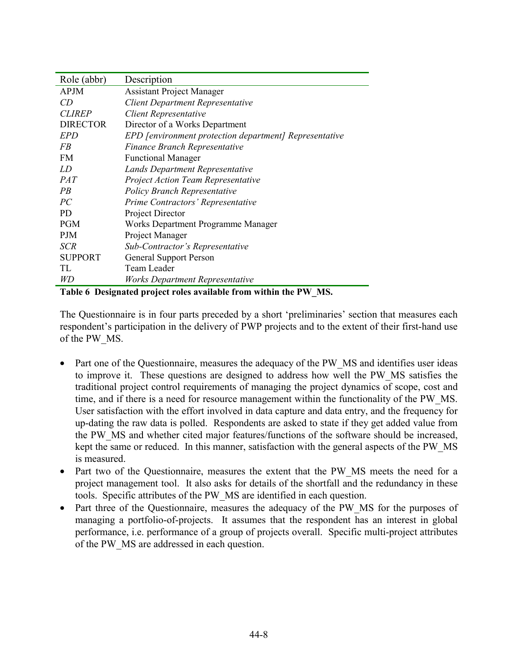| Role (abbr)     | Description                                            |
|-----------------|--------------------------------------------------------|
| <b>APJM</b>     | <b>Assistant Project Manager</b>                       |
| CD              | <b>Client Department Representative</b>                |
| <i>CLIREP</i>   | <b>Client Representative</b>                           |
| <b>DIRECTOR</b> | Director of a Works Department                         |
| EPD             | EPD [environment protection department] Representative |
| FB              | Finance Branch Representative                          |
| <b>FM</b>       | <b>Functional Manager</b>                              |
| LD              | <b>Lands Department Representative</b>                 |
| <i>PAT</i>      | <b>Project Action Team Representative</b>              |
| PB              | <b>Policy Branch Representative</b>                    |
| PC              | Prime Contractors' Representative                      |
| <b>PD</b>       | Project Director                                       |
| <b>PGM</b>      | Works Department Programme Manager                     |
| <b>PJM</b>      | Project Manager                                        |
| <b>SCR</b>      | Sub-Contractor's Representative                        |
| <b>SUPPORT</b>  | <b>General Support Person</b>                          |
| TL              | Team Leader                                            |
| WD              | Works Department Representative                        |

**Table 6 Designated project roles available from within the PW\_MS.** 

The Questionnaire is in four parts preceded by a short 'preliminaries' section that measures each respondent's participation in the delivery of PWP projects and to the extent of their first-hand use of the PW\_MS.

- Part one of the Questionnaire, measures the adequacy of the PW MS and identifies user ideas to improve it. These questions are designed to address how well the PW\_MS satisfies the traditional project control requirements of managing the project dynamics of scope, cost and time, and if there is a need for resource management within the functionality of the PW\_MS. User satisfaction with the effort involved in data capture and data entry, and the frequency for up-dating the raw data is polled. Respondents are asked to state if they get added value from the PW\_MS and whether cited major features/functions of the software should be increased, kept the same or reduced. In this manner, satisfaction with the general aspects of the PW\_MS is measured.
- Part two of the Questionnaire, measures the extent that the PW MS meets the need for a project management tool. It also asks for details of the shortfall and the redundancy in these tools. Specific attributes of the PW\_MS are identified in each question.
- Part three of the Questionnaire, measures the adequacy of the PW MS for the purposes of managing a portfolio-of-projects. It assumes that the respondent has an interest in global performance, i.e. performance of a group of projects overall. Specific multi-project attributes of the PW\_MS are addressed in each question.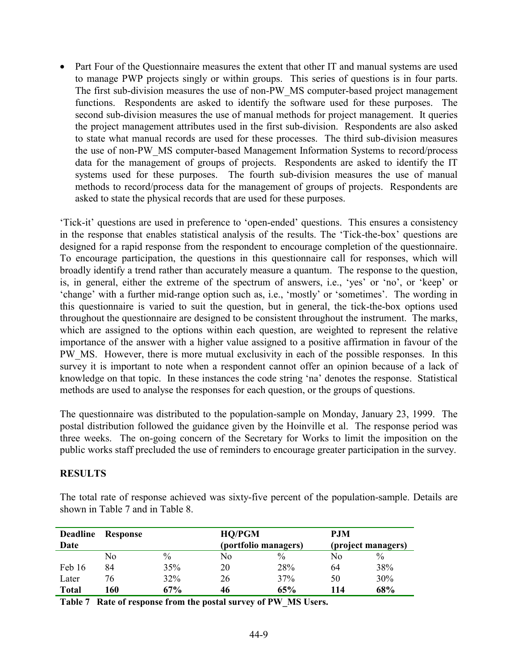• Part Four of the Questionnaire measures the extent that other IT and manual systems are used to manage PWP projects singly or within groups. This series of questions is in four parts. The first sub-division measures the use of non-PW\_MS computer-based project management functions. Respondents are asked to identify the software used for these purposes. The second sub-division measures the use of manual methods for project management. It queries the project management attributes used in the first sub-division. Respondents are also asked to state what manual records are used for these processes. The third sub-division measures the use of non-PW\_MS computer-based Management Information Systems to record/process data for the management of groups of projects. Respondents are asked to identify the IT systems used for these purposes. The fourth sub-division measures the use of manual methods to record/process data for the management of groups of projects. Respondents are asked to state the physical records that are used for these purposes.

'Tick-it' questions are used in preference to 'open-ended' questions. This ensures a consistency in the response that enables statistical analysis of the results. The 'Tick-the-box' questions are designed for a rapid response from the respondent to encourage completion of the questionnaire. To encourage participation, the questions in this questionnaire call for responses, which will broadly identify a trend rather than accurately measure a quantum. The response to the question, is, in general, either the extreme of the spectrum of answers, i.e., 'yes' or 'no', or 'keep' or 'change' with a further mid-range option such as, i.e., 'mostly' or 'sometimes'. The wording in this questionnaire is varied to suit the question, but in general, the tick-the-box options used throughout the questionnaire are designed to be consistent throughout the instrument. The marks, which are assigned to the options within each question, are weighted to represent the relative importance of the answer with a higher value assigned to a positive affirmation in favour of the PW\_MS. However, there is more mutual exclusivity in each of the possible responses. In this survey it is important to note when a respondent cannot offer an opinion because of a lack of knowledge on that topic. In these instances the code string 'na' denotes the response. Statistical methods are used to analyse the responses for each question, or the groups of questions.

The questionnaire was distributed to the population-sample on Monday, January 23, 1999. The postal distribution followed the guidance given by the Hoinville et al. The response period was three weeks. The on-going concern of the Secretary for Works to limit the imposition on the public works staff precluded the use of reminders to encourage greater participation in the survey.

#### **RESULTS**

The total rate of response achieved was sixty-five percent of the population-sample. Details are shown in Table 7 and in Table 8.

| <b>Deadline</b><br>Date | <b>Response</b> |      | <b>HQ/PGM</b><br>(portfolio managers) |      | <b>P.JM</b><br>(project managers) |      |
|-------------------------|-----------------|------|---------------------------------------|------|-----------------------------------|------|
|                         | No              | $\%$ | No                                    | $\%$ | Nο                                | $\%$ |
| Feb 16                  | 84              | 35%  | 20                                    | 28%  | 64                                | 38%  |
| Later                   | 76              | 32%  | 26                                    | 37%  | 50                                | 30%  |
| <b>Total</b>            | 160             | 67%  | 46                                    | 65%  | 114                               | 68%  |

**Table 7 Rate of response from the postal survey of PW\_MS Users.**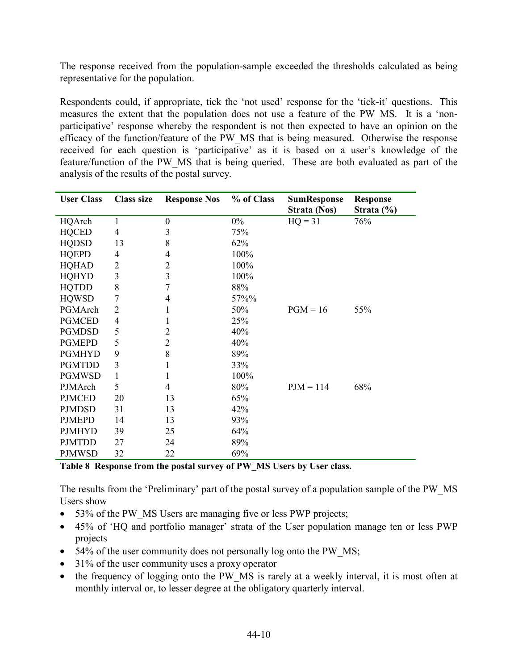The response received from the population-sample exceeded the thresholds calculated as being representative for the population.

Respondents could, if appropriate, tick the 'not used' response for the 'tick-it' questions. This measures the extent that the population does not use a feature of the PW\_MS. It is a 'nonparticipative' response whereby the respondent is not then expected to have an opinion on the efficacy of the function/feature of the PW\_MS that is being measured. Otherwise the response received for each question is 'participative' as it is based on a user's knowledge of the feature/function of the PW\_MS that is being queried. These are both evaluated as part of the analysis of the results of the postal survey.

| <b>User Class</b> | <b>Class size</b> | <b>Response Nos</b> | % of Class | <b>SumResponse</b> | <b>Response</b> |
|-------------------|-------------------|---------------------|------------|--------------------|-----------------|
|                   |                   |                     |            | Strata (Nos)       | Strata $(\% )$  |
| HQArch            | 1                 | $\boldsymbol{0}$    | $0\%$      | $HQ = 31$          | 76%             |
| <b>HQCED</b>      | 4                 | 3                   | 75%        |                    |                 |
| <b>HQDSD</b>      | 13                | 8                   | 62%        |                    |                 |
| <b>HQEPD</b>      | 4                 | 4                   | 100%       |                    |                 |
| <b>HQHAD</b>      | 2                 | 2                   | 100%       |                    |                 |
| <b>HQHYD</b>      | 3                 | 3                   | 100%       |                    |                 |
| <b>HQTDD</b>      | 8                 | 7                   | 88%        |                    |                 |
| <b>HQWSD</b>      | 7                 | 4                   | 57%%       |                    |                 |
| PGMArch           | $\overline{2}$    |                     | 50%        | $PGM = 16$         | 55%             |
| <b>PGMCED</b>     | 4                 |                     | 25%        |                    |                 |
| <b>PGMDSD</b>     | 5                 | 2                   | 40%        |                    |                 |
| <b>PGMEPD</b>     | 5                 | 2                   | 40%        |                    |                 |
| <b>PGMHYD</b>     | 9                 | 8                   | 89%        |                    |                 |
| <b>PGMTDD</b>     | 3                 |                     | 33%        |                    |                 |
| <b>PGMWSD</b>     | 1                 | 1                   | 100%       |                    |                 |
| PJMArch           | 5                 | 4                   | 80%        | $PJM = 114$        | 68%             |
| <b>PJMCED</b>     | 20                | 13                  | 65%        |                    |                 |
| <b>PJMDSD</b>     | 31                | 13                  | 42%        |                    |                 |
| <b>PJMEPD</b>     | 14                | 13                  | 93%        |                    |                 |
| <b>PJMHYD</b>     | 39                | 25                  | 64%        |                    |                 |
| <b>PJMTDD</b>     | 27                | 24                  | 89%        |                    |                 |
| <b>PJMWSD</b>     | 32                | 22                  | 69%        |                    |                 |

**Table 8 Response from the postal survey of PW\_MS Users by User class.** 

The results from the 'Preliminary' part of the postal survey of a population sample of the PW\_MS Users show

- 53% of the PW MS Users are managing five or less PWP projects;
- 45% of 'HQ and portfolio manager' strata of the User population manage ten or less PWP projects
- 54% of the user community does not personally log onto the PW MS;
- 31% of the user community uses a proxy operator
- the frequency of logging onto the PW MS is rarely at a weekly interval, it is most often at monthly interval or, to lesser degree at the obligatory quarterly interval.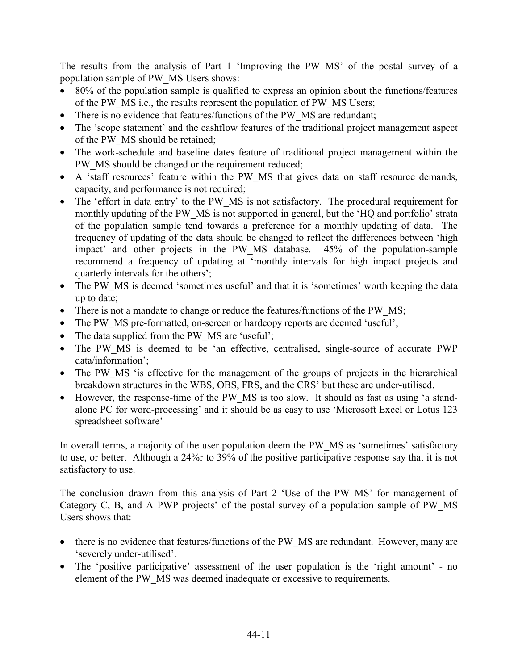The results from the analysis of Part 1 'Improving the PW\_MS' of the postal survey of a population sample of PW\_MS Users shows:

- 80% of the population sample is qualified to express an opinion about the functions/features of the PW\_MS i.e., the results represent the population of PW\_MS Users;
- There is no evidence that features/functions of the PW MS are redundant;
- The 'scope statement' and the cashflow features of the traditional project management aspect of the PW\_MS should be retained;
- The work-schedule and baseline dates feature of traditional project management within the PW MS should be changed or the requirement reduced;
- A 'staff resources' feature within the PW MS that gives data on staff resource demands, capacity, and performance is not required;
- The 'effort in data entry' to the PW MS is not satisfactory. The procedural requirement for monthly updating of the PW\_MS is not supported in general, but the 'HQ and portfolio' strata of the population sample tend towards a preference for a monthly updating of data. The frequency of updating of the data should be changed to reflect the differences between 'high impact' and other projects in the PW\_MS database. 45% of the population-sample recommend a frequency of updating at 'monthly intervals for high impact projects and quarterly intervals for the others';
- The PW MS is deemed 'sometimes useful' and that it is 'sometimes' worth keeping the data up to date;
- There is not a mandate to change or reduce the features/functions of the PW MS;
- The PW MS pre-formatted, on-screen or hardcopy reports are deemed 'useful';
- The data supplied from the PW MS are 'useful';
- The PW MS is deemed to be 'an effective, centralised, single-source of accurate PWP data/information';
- The PW MS 'is effective for the management of the groups of projects in the hierarchical breakdown structures in the WBS, OBS, FRS, and the CRS' but these are under-utilised.
- However, the response-time of the PW MS is too slow. It should as fast as using 'a standalone PC for word-processing' and it should be as easy to use 'Microsoft Excel or Lotus 123 spreadsheet software'

In overall terms, a majority of the user population deem the PW\_MS as 'sometimes' satisfactory to use, or better. Although a 24%r to 39% of the positive participative response say that it is not satisfactory to use.

The conclusion drawn from this analysis of Part 2 'Use of the PW\_MS' for management of Category C, B, and A PWP projects' of the postal survey of a population sample of PW\_MS Users shows that:

- there is no evidence that features/functions of the PW\_MS are redundant. However, many are 'severely under-utilised'.
- The 'positive participative' assessment of the user population is the 'right amount' no element of the PW\_MS was deemed inadequate or excessive to requirements.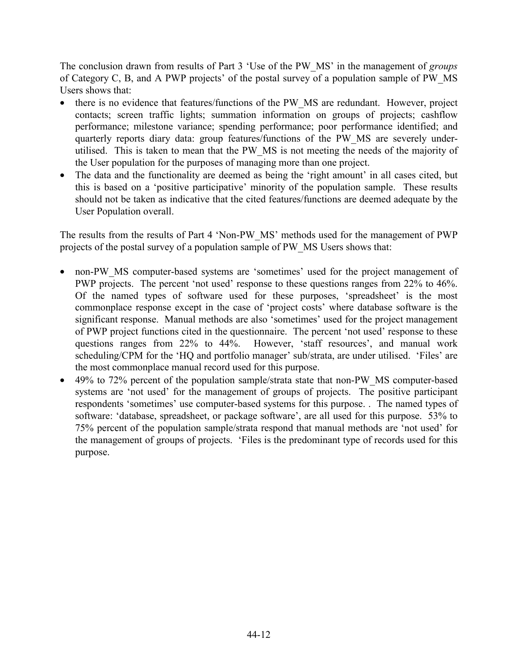The conclusion drawn from results of Part 3 'Use of the PW\_MS' in the management of *groups* of Category C, B, and A PWP projects' of the postal survey of a population sample of PW\_MS Users shows that:

- there is no evidence that features/functions of the PW MS are redundant. However, project contacts; screen traffic lights; summation information on groups of projects; cashflow performance; milestone variance; spending performance; poor performance identified; and quarterly reports diary data: group features/functions of the PW\_MS are severely underutilised. This is taken to mean that the PW\_MS is not meeting the needs of the majority of the User population for the purposes of managing more than one project.
- The data and the functionality are deemed as being the 'right amount' in all cases cited, but this is based on a 'positive participative' minority of the population sample. These results should not be taken as indicative that the cited features/functions are deemed adequate by the User Population overall.

The results from the results of Part 4 'Non-PW\_MS' methods used for the management of PWP projects of the postal survey of a population sample of PW\_MS Users shows that:

- non-PW MS computer-based systems are 'sometimes' used for the project management of PWP projects. The percent 'not used' response to these questions ranges from 22% to 46%. Of the named types of software used for these purposes, 'spreadsheet' is the most commonplace response except in the case of 'project costs' where database software is the significant response. Manual methods are also 'sometimes' used for the project management of PWP project functions cited in the questionnaire. The percent 'not used' response to these questions ranges from 22% to 44%. However, 'staff resources', and manual work scheduling/CPM for the 'HQ and portfolio manager' sub/strata, are under utilised. 'Files' are the most commonplace manual record used for this purpose.
- 49% to 72% percent of the population sample/strata state that non-PW MS computer-based systems are 'not used' for the management of groups of projects. The positive participant respondents 'sometimes' use computer-based systems for this purpose. . The named types of software: 'database, spreadsheet, or package software', are all used for this purpose. 53% to 75% percent of the population sample/strata respond that manual methods are 'not used' for the management of groups of projects. 'Files is the predominant type of records used for this purpose.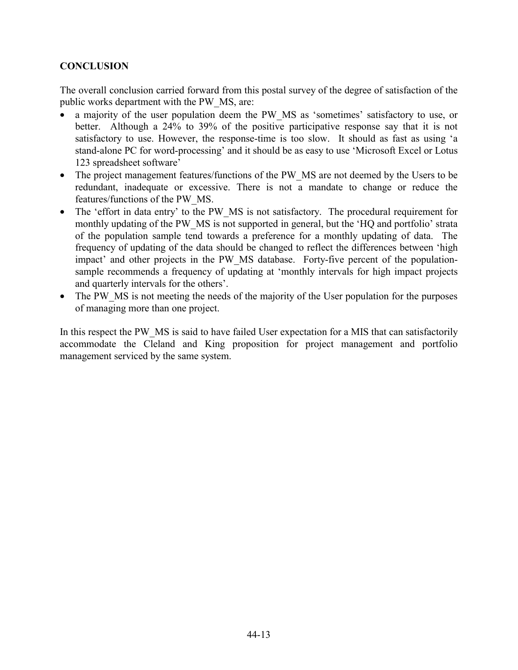# **CONCLUSION**

The overall conclusion carried forward from this postal survey of the degree of satisfaction of the public works department with the PW\_MS, are:

- a majority of the user population deem the PW MS as 'sometimes' satisfactory to use, or better. Although a 24% to 39% of the positive participative response say that it is not satisfactory to use. However, the response-time is too slow. It should as fast as using 'a stand-alone PC for word-processing' and it should be as easy to use 'Microsoft Excel or Lotus 123 spreadsheet software'
- The project management features/functions of the PW MS are not deemed by the Users to be redundant, inadequate or excessive. There is not a mandate to change or reduce the features/functions of the PW\_MS.
- The 'effort in data entry' to the PW MS is not satisfactory. The procedural requirement for monthly updating of the PW\_MS is not supported in general, but the 'HQ and portfolio' strata of the population sample tend towards a preference for a monthly updating of data. The frequency of updating of the data should be changed to reflect the differences between 'high impact' and other projects in the PW\_MS database. Forty-five percent of the populationsample recommends a frequency of updating at 'monthly intervals for high impact projects and quarterly intervals for the others'.
- The PW MS is not meeting the needs of the majority of the User population for the purposes of managing more than one project.

In this respect the PW\_MS is said to have failed User expectation for a MIS that can satisfactorily accommodate the Cleland and King proposition for project management and portfolio management serviced by the same system.